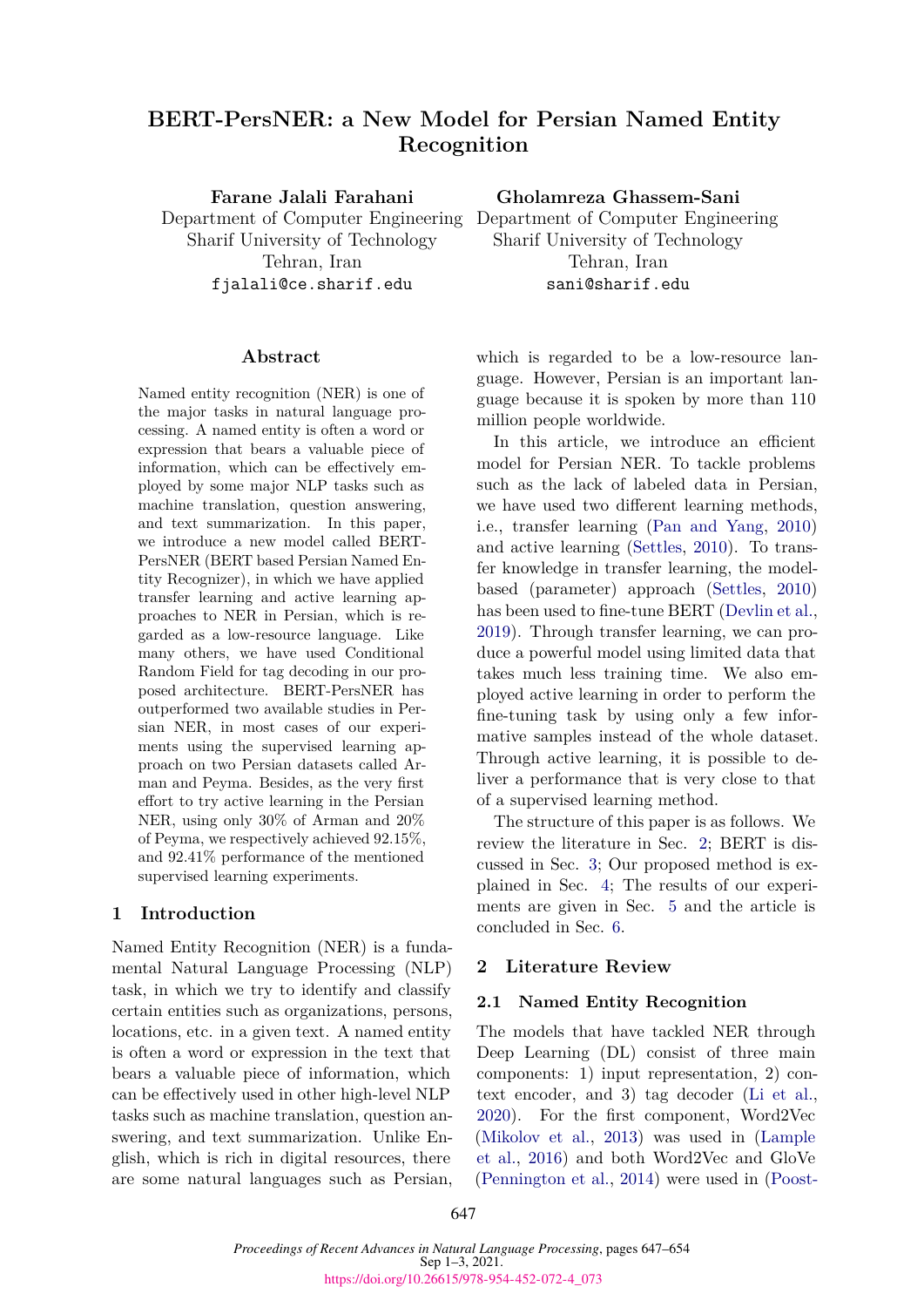# **BERT-PersNER: a New Model for Persian Named Entity Recognition**

**Farane Jalali Farahani**

Department of Computer Engineering Department of Computer Engineering Sharif University of Technology Tehran, Iran fjalali@ce.sharif.edu

## **Abstract**

Named entity recognition (NER) is one of the major tasks in natural language processing. A named entity is often a word or expression that bears a valuable piece of information, which can be effectively employed by some major NLP tasks such as machine translation, question answering, and text summarization. In this paper, we introduce a new model called BERT-PersNER (BERT based Persian Named Entity Recognizer), in which we have applied transfer learning and active learning approaches to NER in Persian, which is regarded as a low-resource language. Like many others, we have used Conditional Random Field for tag decoding in our proposed architecture. BERT-PersNER has outperformed two available studies in Persian NER, in most cases of our experiments using the supervised learning approach on two Persian datasets called Arman and Peyma. Besides, as the very first effort to try active learning in the Persian NER, using only 30% of Arman and 20% of Peyma, we respectively achieved 92.15%, and 92.41% performance of the mentioned supervised learning experiments.

## **1 Introduction**

Named Entity Recognition (NER) is a fundamental Natural Language Processing (NLP) task, in which we try to identify and classify certain entities such as organizations, persons, locations, etc. in a given text. A named entity is often a word or expression in the text that bears a valuable piece of information, which can be effectively used in other high-level NLP tasks such as machine translation, question answering, and text summarization. Unlike English, which is rich in digital resources, there are some natural languages such as Persian, **Gholamreza Ghassem-Sani**

Sharif University of Technology Tehran, Iran sani@sharif.edu

which is regarded to be a low-resource language. However, Persian is an important language because it is spoken by more than 110 million people worldwide.

In this article, we introduce an efficient model for Persian NER. To tackle problems such as the lack of labeled data in Persian, we have used two different learning methods, i.e., transfer learning ([Pan and Yang](#page-6-0), [2010\)](#page-6-0) and active learning ([Settles,](#page-7-0) [2010\)](#page-7-0). To transfer knowledge in transfer learning, the modelbased (parameter) approach [\(Settles,](#page-7-0) [2010\)](#page-7-0) has been used to fine-tune BERT [\(Devlin et al.](#page-6-1), [2019](#page-6-1)). Through transfer learning, we can produce a powerful model using limited data that takes much less training time. We also employed active learning in order to perform the fine-tuning task by using only a few informative samples instead of the whole dataset. Through active learning, it is possible to deliver a performance that is very close to that of a supervised learning method.

The structure of this paper is as follows. We review the literature in Sec. [2;](#page-0-0) BERT is discussed in Sec. [3;](#page-2-0) Our proposed method is explained in Sec. [4;](#page-2-1) The results of our experiments are given in Sec. [5](#page-4-0) and the article is concluded in Sec. [6](#page-6-2).

## <span id="page-0-0"></span>**2 Literature Review**

#### **2.1 Named Entity Recognition**

The models that have tackled NER through Deep Learning (DL) consist of three main components: 1) input representation, 2) context encoder, and 3) tag decoder ([Li et al.](#page-6-3), [2020](#page-6-3)). For the first component, Word2Vec [\(Mikolov et al.](#page-6-4), [2013\)](#page-6-4) was used in [\(Lample](#page-6-5) [et al.,](#page-6-5) [2016](#page-6-5)) and both Word2Vec and GloVe [\(Pennington et al.,](#page-6-6) [2014](#page-6-6)) were used in ([Poost-](#page-7-1)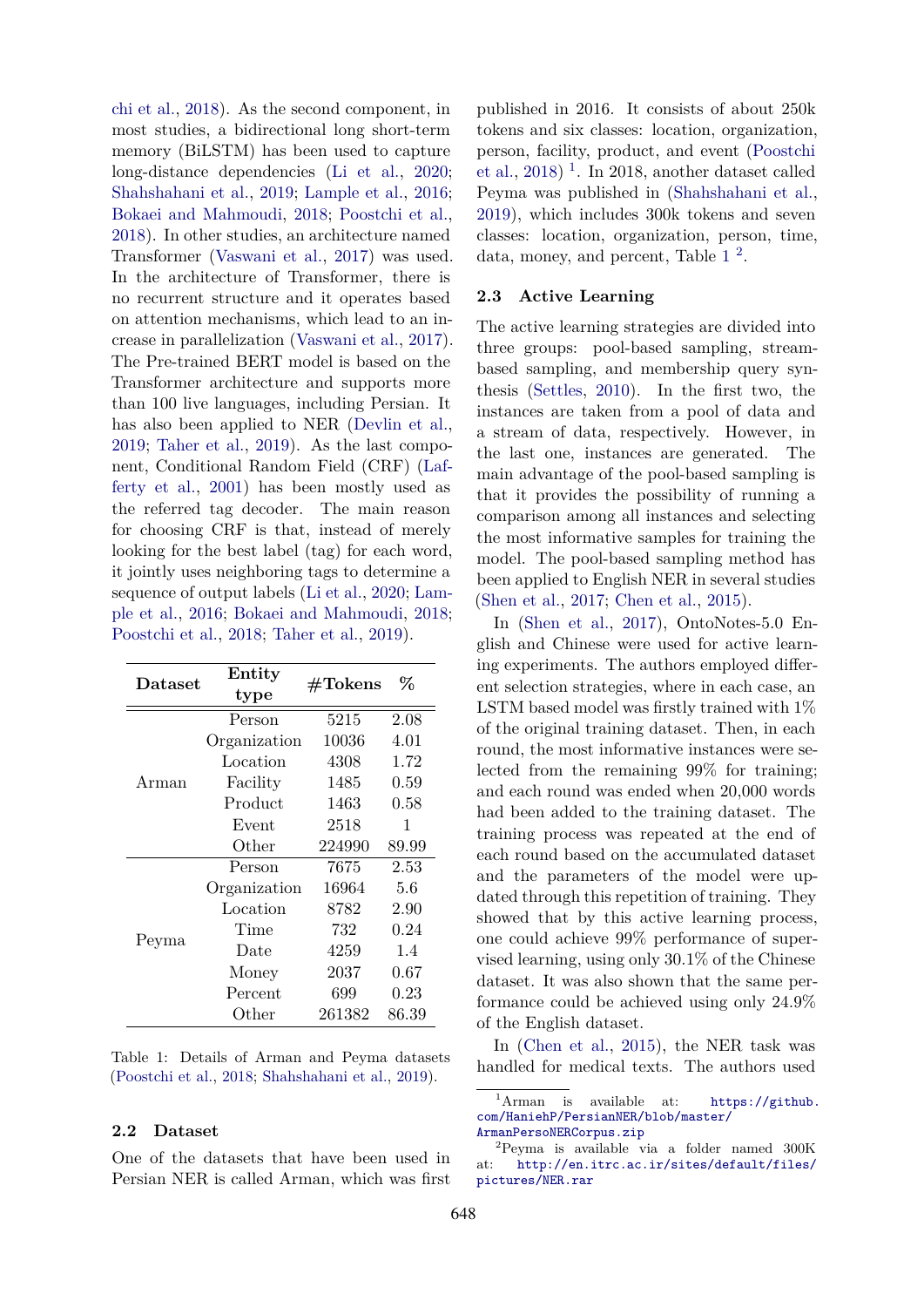[chi et al.,](#page-7-1) [2018](#page-7-1)). As the second component, in most studies, a bidirectional long short-term memory (BiLSTM) has been used to capture long-distance dependencies ([Li et al.](#page-6-3), [2020;](#page-6-3) [Shahshahani et al.,](#page-7-2) [2019](#page-7-2); [Lample et al.,](#page-6-5) [2016;](#page-6-5) [Bokaei and Mahmoudi,](#page-6-7) [2018](#page-6-7); [Poostchi et al.,](#page-7-1) [2018\)](#page-7-1). In other studies, an architecture named Transformer ([Vaswani et al.,](#page-7-3) [2017](#page-7-3)) was used. In the architecture of Transformer, there is no recurrent structure and it operates based on attention mechanisms, which lead to an increase in parallelization ([Vaswani et al.](#page-7-3), [2017](#page-7-3)). The Pre-trained BERT model is based on the Transformer architecture and supports more than 100 live languages, including Persian. It has also been applied to NER ([Devlin et al.,](#page-6-1) [2019;](#page-6-1) [Taher et al.](#page-7-4), [2019](#page-7-4)). As the last component, Conditional Random Field (CRF) ([Laf](#page-6-8)[ferty et al.](#page-6-8), [2001\)](#page-6-8) has been mostly used as the referred tag decoder. The main reason for choosing CRF is that, instead of merely looking for the best label (tag) for each word, it jointly uses neighboring tags to determine a sequence of output labels [\(Li et al.](#page-6-3), [2020](#page-6-3); [Lam](#page-6-5)[ple et al.,](#page-6-5) [2016;](#page-6-5) [Bokaei and Mahmoudi,](#page-6-7) [2018;](#page-6-7) [Poostchi et al.](#page-7-1), [2018;](#page-7-1) [Taher et al.](#page-7-4), [2019\)](#page-7-4).

<span id="page-1-1"></span>

| Dataset | Entity       | $\#\text{Tokens}$ | %        |  |
|---------|--------------|-------------------|----------|--|
|         | type         |                   |          |  |
|         | Person       | 5215              | 2.08     |  |
|         | Organization | 10036             | 4.01     |  |
| Arman   | Location     | 4308              | 1.72     |  |
|         | Facility     | 1485              | 0.59     |  |
|         | Product      | 1463              | 0.58     |  |
|         | Event        | 2518              | 1        |  |
|         | Other        | 224990            | 89.99    |  |
|         | Person       | 7675              | 2.53     |  |
|         | Organization | 16964             | 5.6      |  |
|         | Location     | 8782              | 2.90     |  |
|         | Time         | 732               | 0.24     |  |
| Peyma   | Date         | 4259              | 1.4      |  |
|         | Money        | $2037\,$          | $0.67\,$ |  |
|         | Percent      | 699               | 0.23     |  |
|         | Other        | 261382            | 86.39    |  |

Table 1: Details of Arman and Peyma datasets ([Poostchi et al.](#page-7-1), [2018](#page-7-1); [Shahshahani et al.,](#page-7-2) [2019\)](#page-7-2).

## **2.2 Dataset**

One of the datasets that have been used in Persian NER is called Arman, which was first

published in 2016. It consists of about 250k tokens and six classes: location, organization, person, facility, product, and event [\(Poostchi](#page-7-1) [et al.](#page-7-1), [2018](#page-7-1)) [1](#page-1-0) . In 2018, another dataset called Peyma was published in [\(Shahshahani et al.](#page-7-2), [2019](#page-7-2)), which includes 300k tokens and seven classes: location, organization, person, time, data, money, and percent, Table  $1<sup>2</sup>$  $1<sup>2</sup>$  $1<sup>2</sup>$  $1<sup>2</sup>$ .

## **2.3 Active Learning**

The active learning strategies are divided into three groups: pool-based sampling, streambased sampling, and membership query synthesis ([Settles](#page-7-0), [2010\)](#page-7-0). In the first two, the instances are taken from a pool of data and a stream of data, respectively. However, in the last one, instances are generated. The main advantage of the pool-based sampling is that it provides the possibility of running a comparison among all instances and selecting the most informative samples for training the model. The pool-based sampling method has been applied to English NER in several studies [\(Shen et al.](#page-7-5), [2017;](#page-7-5) [Chen et al.](#page-6-9), [2015\)](#page-6-9).

In ([Shen et al.,](#page-7-5) [2017\)](#page-7-5), OntoNotes-5.0 English and Chinese were used for active learning experiments. The authors employed different selection strategies, where in each case, an LSTM based model was firstly trained with 1% of the original training dataset. Then, in each round, the most informative instances were selected from the remaining 99% for training; and each round was ended when 20,000 words had been added to the training dataset. The training process was repeated at the end of each round based on the accumulated dataset and the parameters of the model were updated through this repetition of training. They showed that by this active learning process, one could achieve 99% performance of supervised learning, using only 30.1% of the Chinese dataset. It was also shown that the same performance could be achieved using only 24.9% of the English dataset.

In [\(Chen et al.,](#page-6-9) [2015](#page-6-9)), the NER task was handled for medical texts. The authors used

<span id="page-1-0"></span><sup>&</sup>lt;sup>1</sup>Arman is available at: [https://github.](https://github.com/HaniehP/PersianNER/blob/master/ArmanPersoNERCorpus.zip) [com/HaniehP/PersianNER/blob/master/](https://github.com/HaniehP/PersianNER/blob/master/ArmanPersoNERCorpus.zip) [ArmanPersoNERCorpus.zip](https://github.com/HaniehP/PersianNER/blob/master/ArmanPersoNERCorpus.zip)

<span id="page-1-2"></span><sup>2</sup>Peyma is available via a folder named 300K at: [http://en.itrc.ac.ir/sites/default/files/](http://en.itrc.ac.ir/sites/default/files/pictures/NER.rar) [pictures/NER.rar](http://en.itrc.ac.ir/sites/default/files/pictures/NER.rar)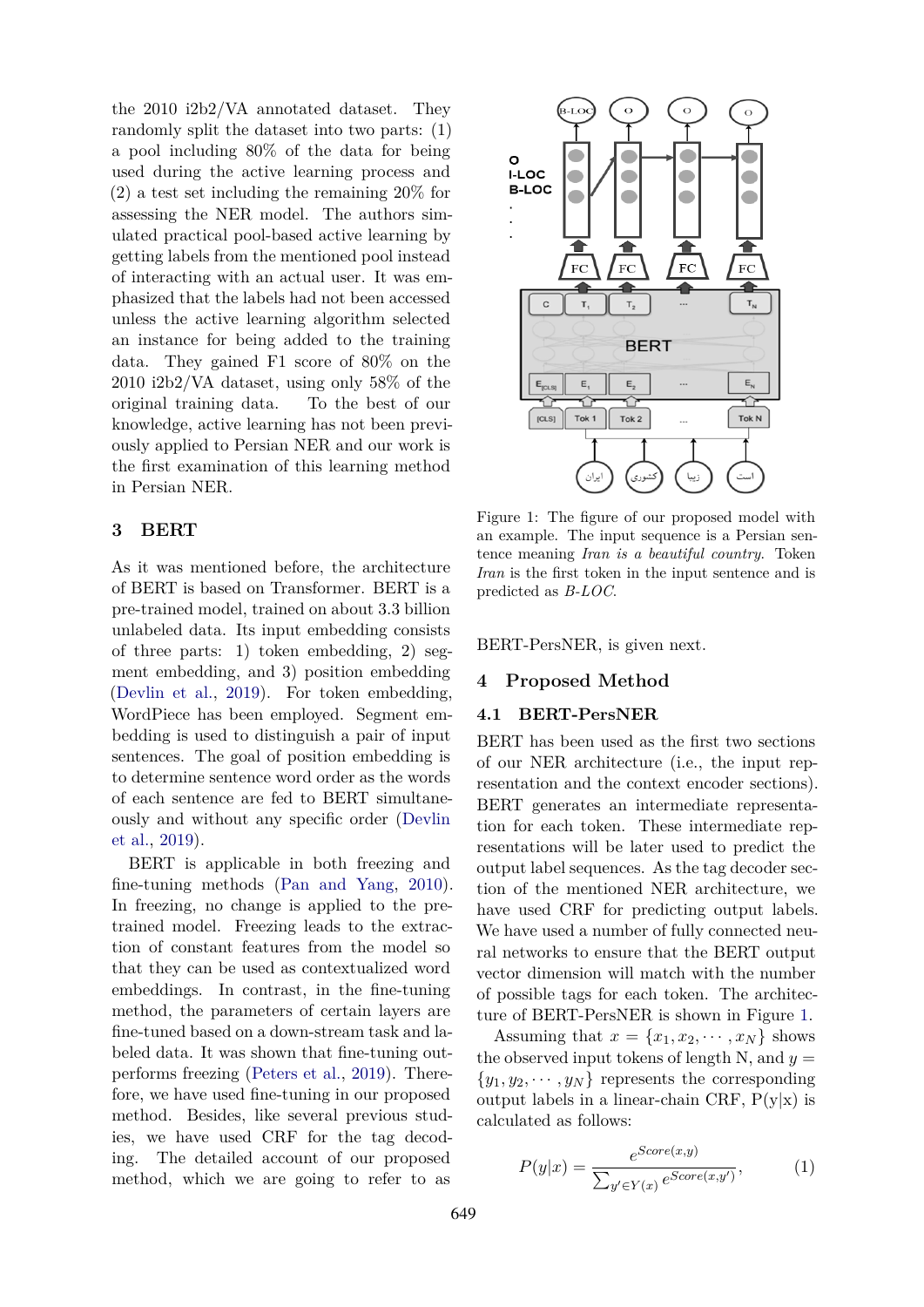the 2010 i2b2/VA annotated dataset. They randomly split the dataset into two parts: (1) a pool including 80% of the data for being used during the active learning process and (2) a test set including the remaining 20% for assessing the NER model. The authors simulated practical pool-based active learning by getting labels from the mentioned pool instead of interacting with an actual user. It was emphasized that the labels had not been accessed unless the active learning algorithm selected an instance for being added to the training data. They gained F1 score of 80% on the 2010 i2b2/VA dataset, using only 58% of the original training data. To the best of our knowledge, active learning has not been previously applied to Persian NER and our work is the first examination of this learning method in Persian NER.

## <span id="page-2-0"></span>**3 BERT**

As it was mentioned before, the architecture of BERT is based on Transformer. BERT is a pre-trained model, trained on about 3.3 billion unlabeled data. Its input embedding consists of three parts: 1) token embedding, 2) segment embedding, and 3) position embedding ([Devlin et al.](#page-6-1), [2019](#page-6-1)). For token embedding, WordPiece has been employed. Segment embedding is used to distinguish a pair of input sentences. The goal of position embedding is to determine sentence word order as the words of each sentence are fed to BERT simultaneously and without any specific order [\(Devlin](#page-6-1) [et al.](#page-6-1), [2019\)](#page-6-1).

BERT is applicable in both freezing and fine-tuning methods ([Pan and Yang,](#page-6-0) [2010](#page-6-0)). In freezing, no change is applied to the pretrained model. Freezing leads to the extraction of constant features from the model so that they can be used as contextualized word embeddings. In contrast, in the fine-tuning method, the parameters of certain layers are fine-tuned based on a down-stream task and labeled data. It was shown that fine-tuning outperforms freezing [\(Peters et al.,](#page-7-6) [2019](#page-7-6)). Therefore, we have used fine-tuning in our proposed method. Besides, like several previous studies, we have used CRF for the tag decoding. The detailed account of our proposed method, which we are going to refer to as

<span id="page-2-2"></span>

Figure 1: The figure of our proposed model with an example. The input sequence is a Persian sentence meaning *Iran is a beautiful country*. Token *Iran* is the first token in the input sentence and is predicted as *B-LOC*.

BERT-PersNER, is given next.

## <span id="page-2-1"></span>**4 Proposed Method**

## **4.1 BERT-PersNER**

BERT has been used as the first two sections of our NER architecture (i.e., the input representation and the context encoder sections). BERT generates an intermediate representation for each token. These intermediate representations will be later used to predict the output label sequences. As the tag decoder section of the mentioned NER architecture, we have used CRF for predicting output labels. We have used a number of fully connected neural networks to ensure that the BERT output vector dimension will match with the number of possible tags for each token. The architecture of BERT-PersNER is shown in Figure [1](#page-2-2).

Assuming that  $x = \{x_1, x_2, \cdots, x_N\}$  shows the observed input tokens of length N, and  $y =$  $\{y_1, y_2, \dots, y_N\}$  represents the corresponding output labels in a linear-chain CRF,  $P(y|x)$  is calculated as follows:

<span id="page-2-3"></span>
$$
P(y|x) = \frac{e^{Score(x,y)}}{\sum_{y' \in Y(x)} e^{Score(x,y')}}\tag{1}
$$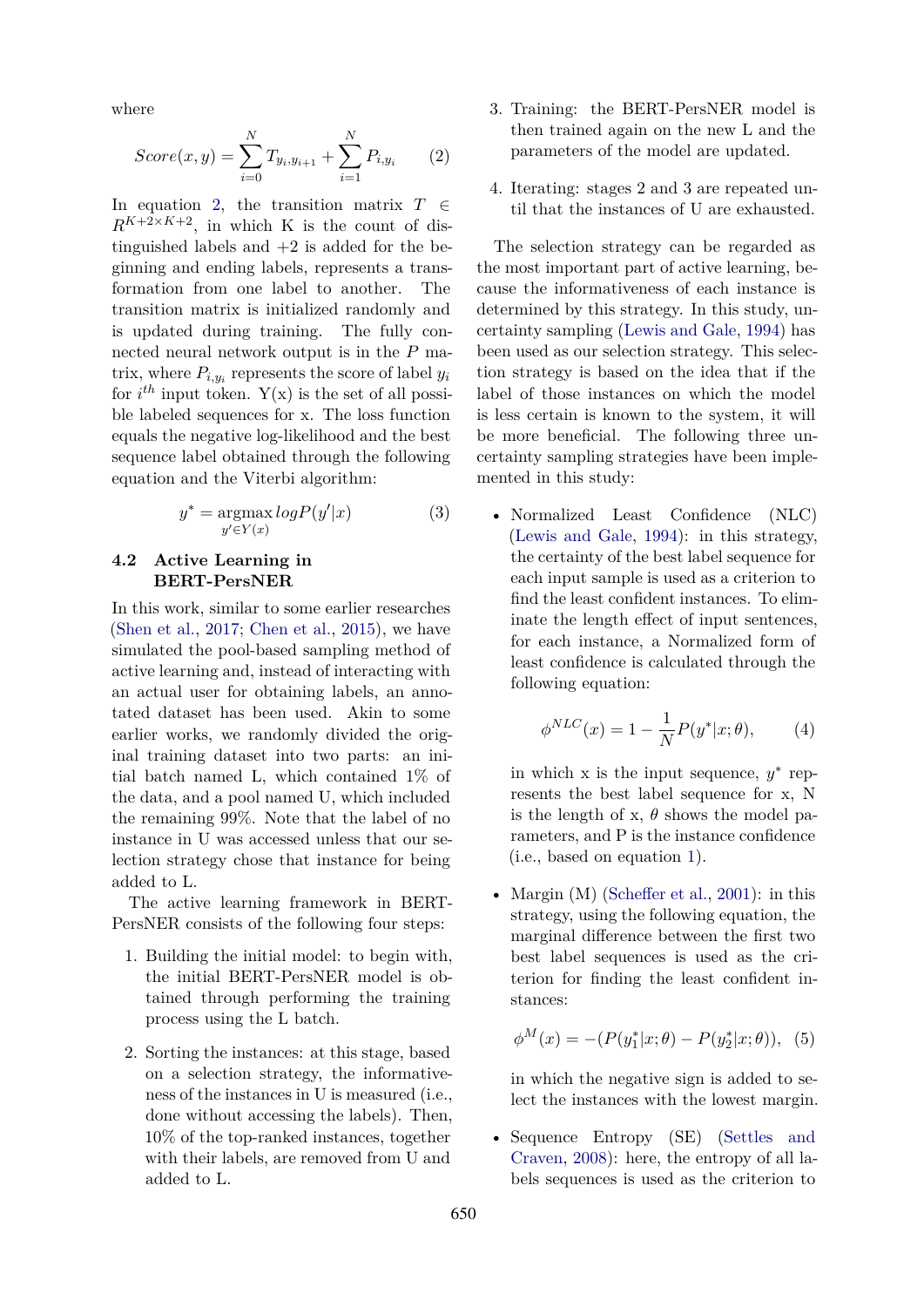where

<span id="page-3-0"></span>
$$
Score(x,y) = \sum_{i=0}^{N} T_{y_i, y_{i+1}} + \sum_{i=1}^{N} P_{i, y_i}
$$
 (2)

In equation [2](#page-3-0), the transition matrix *T ∈*  $R^{K+2\times K+2}$ , in which K is the count of distinguished labels and  $+2$  is added for the beginning and ending labels, represents a transformation from one label to another. The transition matrix is initialized randomly and is updated during training. The fully connected neural network output is in the *P* matrix, where  $P_{i,y_i}$  represents the score of label  $y_i$ for  $i^{th}$  input token.  $Y(x)$  is the set of all possible labeled sequences for x. The loss function equals the negative log-likelihood and the best sequence label obtained through the following equation and the Viterbi algorithm:

$$
y^* = \underset{y' \in Y(x)}{\operatorname{argmax}} \log P(y'|x) \tag{3}
$$

## **4.2 Active Learning in BERT-PersNER**

In this work, similar to some earlier researches ([Shen et al.,](#page-7-5) [2017](#page-7-5); [Chen et al.](#page-6-9), [2015\)](#page-6-9), we have simulated the pool-based sampling method of active learning and, instead of interacting with an actual user for obtaining labels, an annotated dataset has been used. Akin to some earlier works, we randomly divided the original training dataset into two parts: an initial batch named L, which contained 1% of the data, and a pool named U, which included the remaining 99%. Note that the label of no instance in U was accessed unless that our selection strategy chose that instance for being added to L.

The active learning framework in BERT-PersNER consists of the following four steps:

- 1. Building the initial model: to begin with, the initial BERT-PersNER model is obtained through performing the training process using the L batch.
- 2. Sorting the instances: at this stage, based on a selection strategy, the informativeness of the instances in U is measured (i.e., done without accessing the labels). Then, 10% of the top-ranked instances, together with their labels, are removed from U and added to L.
- 3. Training: the BERT-PersNER model is then trained again on the new L and the parameters of the model are updated.
- 4. Iterating: stages 2 and 3 are repeated until that the instances of U are exhausted.

The selection strategy can be regarded as the most important part of active learning, because the informativeness of each instance is determined by this strategy. In this study, uncertainty sampling [\(Lewis and Gale,](#page-6-10) [1994](#page-6-10)) has been used as our selection strategy. This selection strategy is based on the idea that if the label of those instances on which the model is less certain is known to the system, it will be more beneficial. The following three uncertainty sampling strategies have been implemented in this study:

• Normalized Least Confidence (NLC) [\(Lewis and Gale](#page-6-10), [1994\)](#page-6-10): in this strategy, the certainty of the best label sequence for each input sample is used as a criterion to find the least confident instances. To eliminate the length effect of input sentences, for each instance, a Normalized form of least confidence is calculated through the following equation:

$$
\phi^{NLC}(x) = 1 - \frac{1}{N} P(y^* | x; \theta), \quad (4)
$$

in which x is the input sequence,  $y^*$  represents the best label sequence for x, N is the length of x,  $\theta$  shows the model parameters, and P is the instance confidence (i.e., based on equation [1](#page-2-3)).

• Margin (M) [\(Scheffer et al.,](#page-7-7) [2001\)](#page-7-7): in this strategy, using the following equation, the marginal difference between the first two best label sequences is used as the criterion for finding the least confident instances:

$$
\phi^M(x) = -(P(y_1^*|x;\theta) - P(y_2^*|x;\theta)), (5)
$$

in which the negative sign is added to select the instances with the lowest margin.

• Sequence Entropy (SE) ([Settles and](#page-7-8) [Craven,](#page-7-8) [2008](#page-7-8)): here, the entropy of all labels sequences is used as the criterion to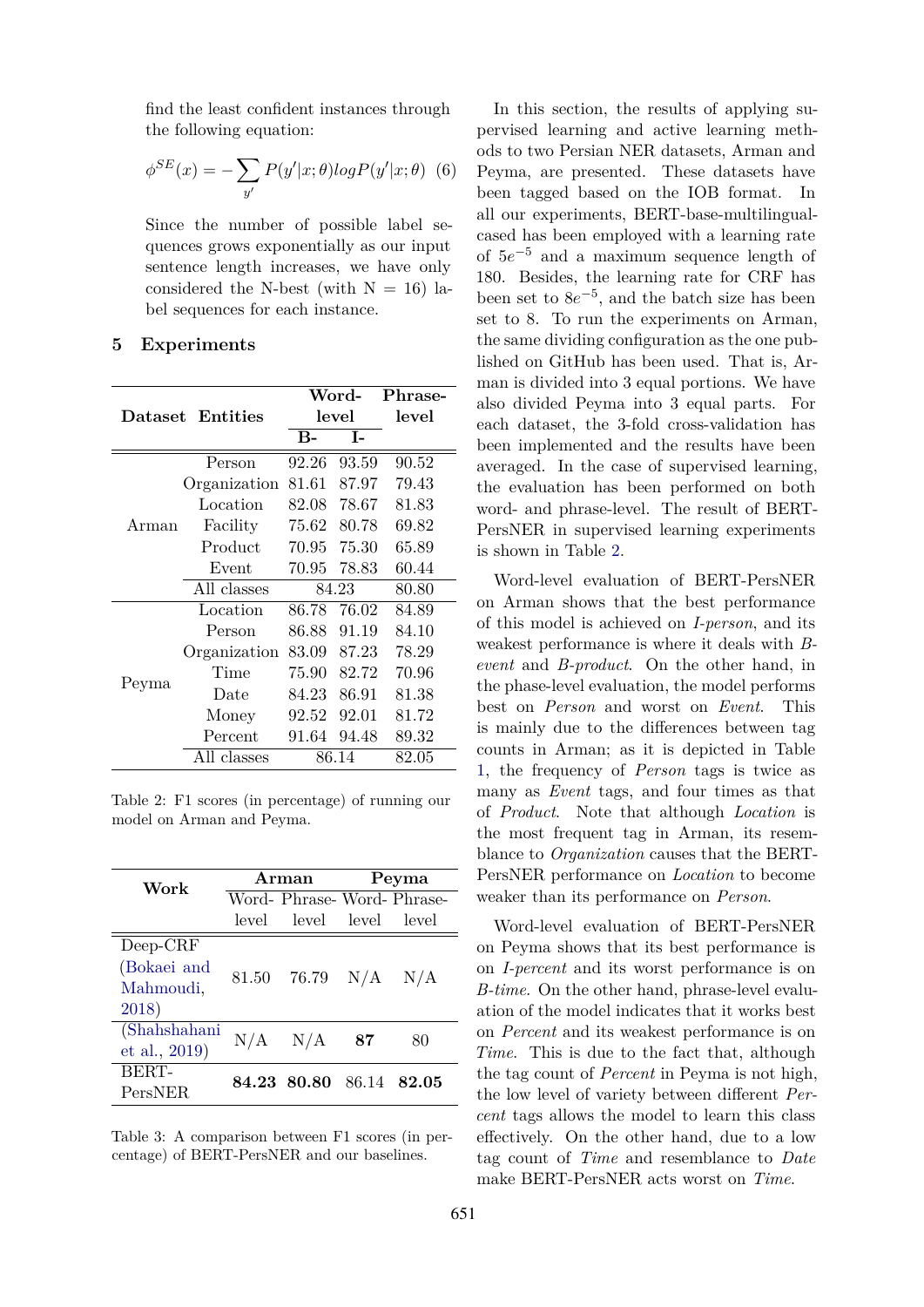find the least confident instances through the following equation:

$$
\phi^{SE}(x) = -\sum_{y'} P(y'|x;\theta) \log P(y'|x;\theta) \tag{6}
$$

Since the number of possible label sequences grows exponentially as our input sentence length increases, we have only considered the N-best (with  $N = 16$ ) label sequences for each instance.

#### <span id="page-4-0"></span>**5 Experiments**

<span id="page-4-1"></span>

|       |                  |           | Word- | Phrase- |  |
|-------|------------------|-----------|-------|---------|--|
|       | Dataset Entities |           | level | level   |  |
|       |                  | <b>B-</b> | T-    |         |  |
|       | Person           | 92.26     | 93.59 | 90.52   |  |
| Arman | Organization     | 81.61     | 87.97 | 79.43   |  |
|       | Location         | 82.08     | 78.67 | 81.83   |  |
|       | Facility         | 75.62     | 80.78 | 69.82   |  |
|       | Product          | 70.95     | 75.30 | 65.89   |  |
|       | Event            | 70.95     | 78.83 | 60.44   |  |
|       | All classes      | 84.23     |       | 80.80   |  |
|       | Location         | 86.78     | 76.02 | 84.89   |  |
| Peyma | Person           | 86.88     | 91.19 | 84.10   |  |
|       | Organization     | 83.09     | 87.23 | 78.29   |  |
|       | Time             | 75.90     | 82.72 | 70.96   |  |
|       | Date             | 84.23     | 86.91 | 81.38   |  |
|       | Money            | 92.52     | 92.01 | 81.72   |  |
|       | Percent          | 91.64     | 94.48 | 89.32   |  |
|       | All classes      | 86.14     |       | 82.05   |  |

Table 2: F1 scores (in percentage) of running our model on Arman and Peyma.

<span id="page-4-2"></span>

| Work          |             | Arman                   | Peyma |                            |  |
|---------------|-------------|-------------------------|-------|----------------------------|--|
|               |             |                         |       | Word- Phrase-Word- Phrase- |  |
|               |             | level level level       |       | level                      |  |
| $Deep-CRF$    |             |                         |       |                            |  |
| (Bokaei and   |             |                         |       |                            |  |
| Mahmoudi,     |             | 81.50 76.79 $N/A$ $N/A$ |       |                            |  |
| 2018)         |             |                         |       |                            |  |
| (Shahshahani  | $N/A$ $N/A$ |                         | -87   | 80                         |  |
| et al., 2019) |             |                         |       |                            |  |
| BERT-         |             | 84.23 80.80             | 86.14 | 82.05                      |  |
| PersNER       |             |                         |       |                            |  |

Table 3: A comparison between F1 scores (in percentage) of BERT-PersNER and our baselines.

In this section, the results of applying supervised learning and active learning methods to two Persian NER datasets, Arman and Peyma, are presented. These datasets have been tagged based on the IOB format. In all our experiments, BERT-base-multilingualcased has been employed with a learning rate of 5*e <sup>−</sup>*<sup>5</sup> and a maximum sequence length of 180. Besides, the learning rate for CRF has been set to 8*e −*5 , and the batch size has been set to 8. To run the experiments on Arman, the same dividing configuration as the one published on GitHub has been used. That is, Arman is divided into 3 equal portions. We have also divided Peyma into 3 equal parts. For each dataset, the 3-fold cross-validation has been implemented and the results have been averaged. In the case of supervised learning, the evaluation has been performed on both word- and phrase-level. The result of BERT-PersNER in supervised learning experiments is shown in Table [2.](#page-4-1)

Word-level evaluation of BERT-PersNER on Arman shows that the best performance of this model is achieved on *I-person*, and its weakest performance is where it deals with *Bevent* and *B-product*. On the other hand, in the phase-level evaluation, the model performs best on *Person* and worst on *Event*. This is mainly due to the differences between tag counts in Arman; as it is depicted in Table [1,](#page-1-1) the frequency of *Person* tags is twice as many as *Event* tags, and four times as that of *Product*. Note that although *Location* is the most frequent tag in Arman, its resemblance to *Organization* causes that the BERT-PersNER performance on *Location* to become weaker than its performance on *Person*.

Word-level evaluation of BERT-PersNER on Peyma shows that its best performance is on *I-percent* and its worst performance is on *B-time*. On the other hand, phrase-level evaluation of the model indicates that it works best on *Percent* and its weakest performance is on *Time*. This is due to the fact that, although the tag count of *Percent* in Peyma is not high, the low level of variety between different *Percent* tags allows the model to learn this class effectively. On the other hand, due to a low tag count of *Time* and resemblance to *Date* make BERT-PersNER acts worst on *Time*.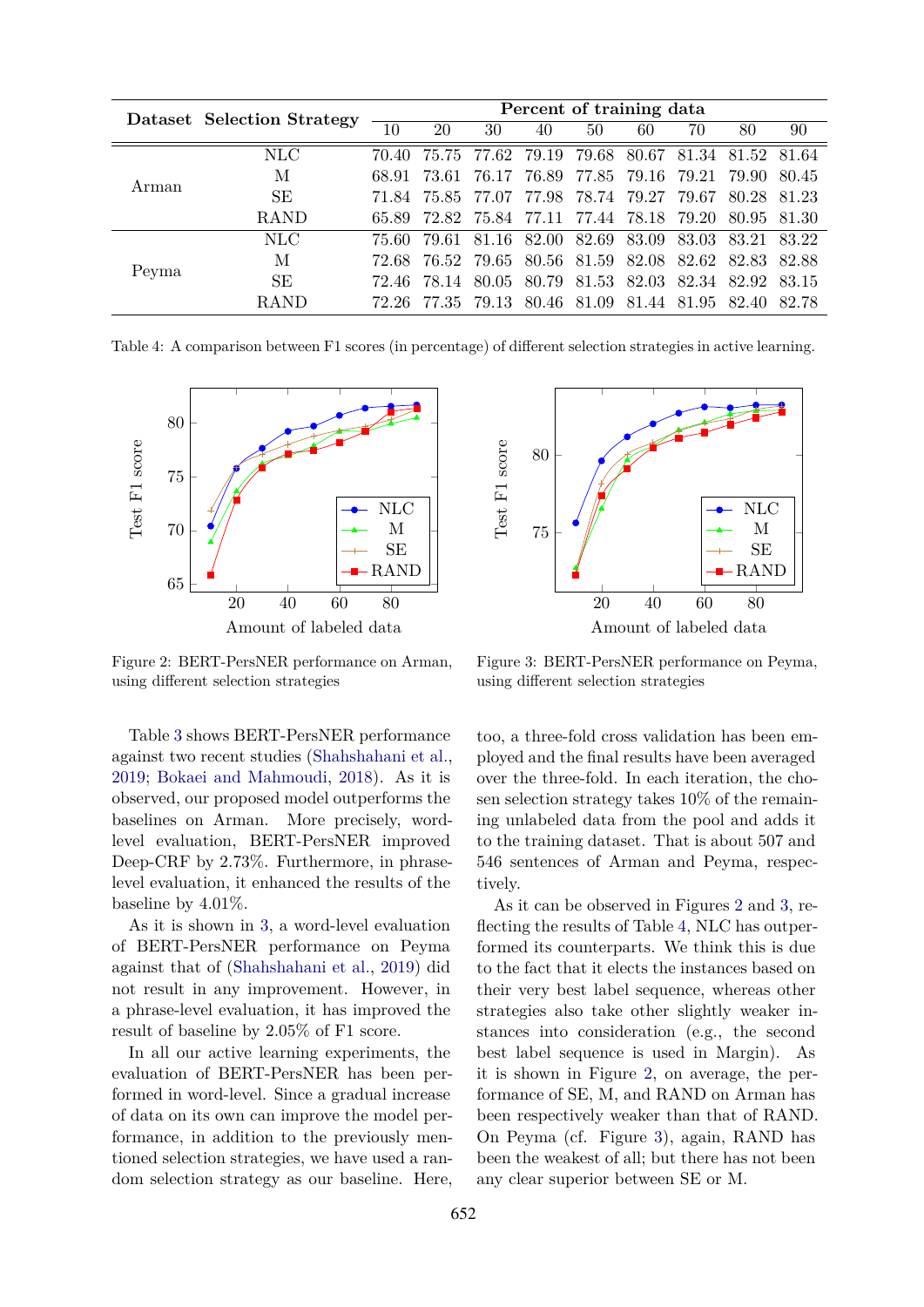<span id="page-5-2"></span>

| Arman | Dataset Selection Strategy | Percent of training data |       |       |                                     |                         |                   |       |       |       |
|-------|----------------------------|--------------------------|-------|-------|-------------------------------------|-------------------------|-------------------|-------|-------|-------|
|       |                            | 10                       | 20    | 30    | 40                                  | 50                      | 60                | 70    | 80    | 90    |
|       | <b>NLC</b>                 | 70.40                    | 75.75 |       | 77.62 79.19                         | 79.68                   | 80.67             | 81.34 | 81.52 | 81.64 |
|       | М                          | 68.91                    | 73.61 | 76.17 | 76.89                               |                         | 77.85 79.16 79.21 |       | 79.90 | 80.45 |
|       | <b>SE</b>                  | 71.84                    |       |       | 75.85 77.07 77.98 78.74 79.27 79.67 |                         |                   |       | 80.28 | 81.23 |
|       | <b>RAND</b>                | 65.89                    | 72.82 |       | 75.84 77.11 77.44 78.18 79.20       |                         |                   |       | 80.95 | 81.30 |
| Peyma | <b>NLC</b>                 | 75.60                    | 79.61 |       | 81.16 82.00                         | 82.69                   | 83.09 83.03       |       | 83.21 | 83.22 |
|       | М                          | 72.68                    | 76.52 |       | 79.65 80.56 81.59                   |                         | 82.08 82.62       |       | 82.83 | 82.88 |
|       | <b>SE</b>                  | 72.46                    | 78.14 | 80.05 |                                     | 80.79 81.53 82.03 82.34 |                   |       | 82.92 | 83.15 |
|       | <b>RAND</b>                | 72.26                    | 77.35 |       | 79.13 80.46 81.09                   |                         | 81.44 81.95       |       | 82.40 | 82.78 |

Table 4: A comparison between F1 scores (in percentage) of different selection strategies in active learning.

<span id="page-5-0"></span>

Figure 2: BERT-PersNER performance on Arman, using different selection strategies

Table [3](#page-4-2) shows BERT-PersNER performance against two recent studies ([Shahshahani et al.,](#page-7-2) [2019;](#page-7-2) [Bokaei and Mahmoudi,](#page-6-7) [2018](#page-6-7)). As it is observed, our proposed model outperforms the baselines on Arman. More precisely, wordlevel evaluation, BERT-PersNER improved Deep-CRF by 2.73%. Furthermore, in phraselevel evaluation, it enhanced the results of the baseline by 4.01%.

As it is shown in [3](#page-4-2), a word-level evaluation of BERT-PersNER performance on Peyma against that of [\(Shahshahani et al.,](#page-7-2) [2019](#page-7-2)) did not result in any improvement. However, in a phrase-level evaluation, it has improved the result of baseline by 2.05% of F1 score.

In all our active learning experiments, the evaluation of BERT-PersNER has been performed in word-level. Since a gradual increase of data on its own can improve the model performance, in addition to the previously mentioned selection strategies, we have used a random selection strategy as our baseline. Here,

<span id="page-5-1"></span>

Figure 3: BERT-PersNER performance on Peyma, using different selection strategies

too, a three-fold cross validation has been employed and the final results have been averaged over the three-fold. In each iteration, the chosen selection strategy takes 10% of the remaining unlabeled data from the pool and adds it to the training dataset. That is about 507 and 546 sentences of Arman and Peyma, respectively.

As it can be observed in Figures [2](#page-5-0) and [3](#page-5-1), reflecting the results of Table [4](#page-5-2), NLC has outperformed its counterparts. We think this is due to the fact that it elects the instances based on their very best label sequence, whereas other strategies also take other slightly weaker instances into consideration (e.g., the second best label sequence is used in Margin). As it is shown in Figure [2](#page-5-0), on average, the performance of SE, M, and RAND on Arman has been respectively weaker than that of RAND. On Peyma (cf. Figure [3](#page-5-1)), again, RAND has been the weakest of all; but there has not been any clear superior between SE or M.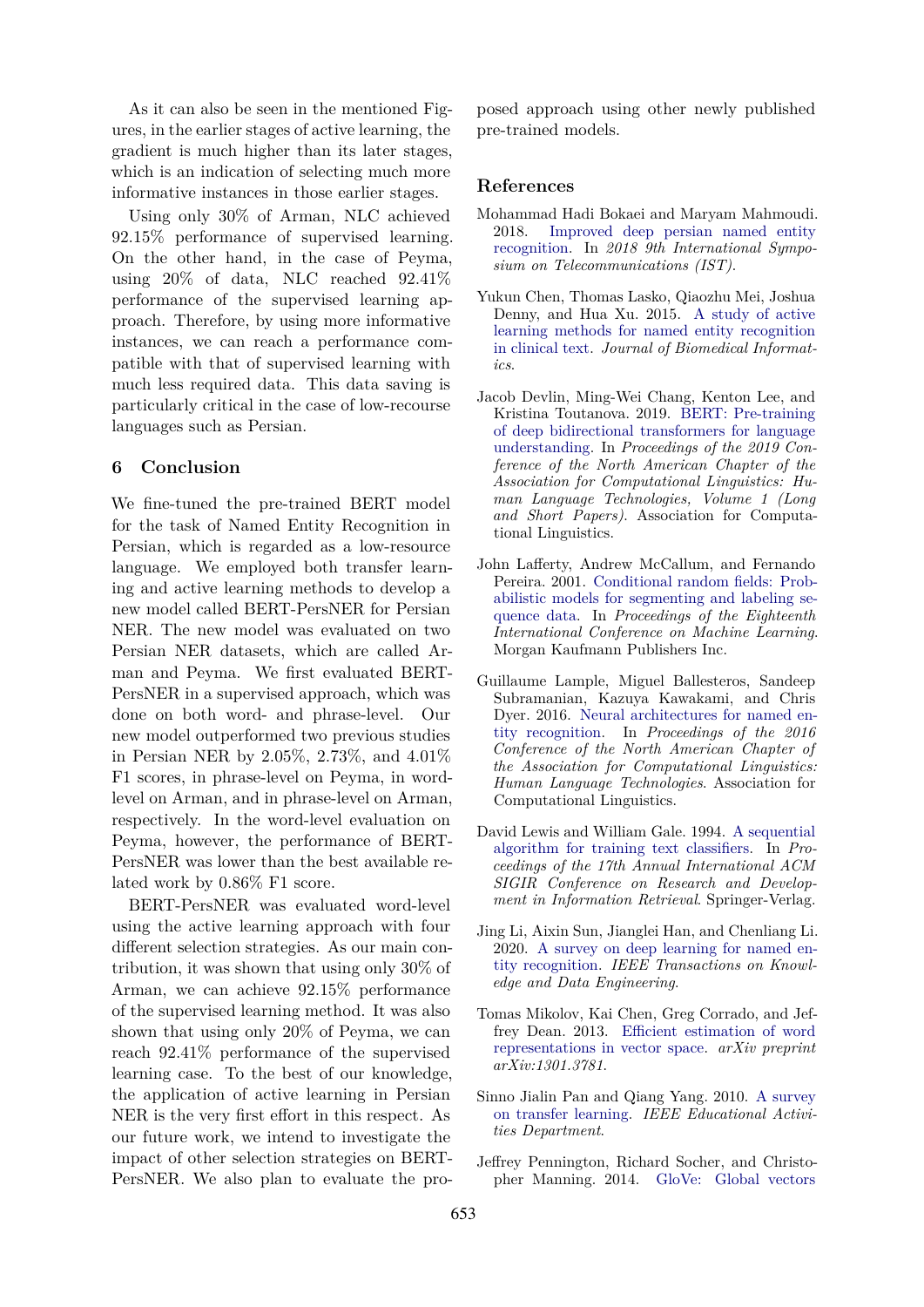As it can also be seen in the mentioned Figures, in the earlier stages of active learning, the gradient is much higher than its later stages, which is an indication of selecting much more informative instances in those earlier stages.

Using only 30% of Arman, NLC achieved 92.15% performance of supervised learning. On the other hand, in the case of Peyma, using 20% of data, NLC reached 92.41% performance of the supervised learning approach. Therefore, by using more informative instances, we can reach a performance compatible with that of supervised learning with much less required data. This data saving is particularly critical in the case of low-recourse languages such as Persian.

# <span id="page-6-2"></span>**6 Conclusion**

We fine-tuned the pre-trained BERT model for the task of Named Entity Recognition in Persian, which is regarded as a low-resource language. We employed both transfer learning and active learning methods to develop a new model called BERT-PersNER for Persian NER. The new model was evaluated on two Persian NER datasets, which are called Arman and Peyma. We first evaluated BERT-PersNER in a supervised approach, which was done on both word- and phrase-level. Our new model outperformed two previous studies in Persian NER by 2.05%, 2.73%, and 4.01% F1 scores, in phrase-level on Peyma, in wordlevel on Arman, and in phrase-level on Arman, respectively. In the word-level evaluation on Peyma, however, the performance of BERT-PersNER was lower than the best available related work by 0.86% F1 score.

BERT-PersNER was evaluated word-level using the active learning approach with four different selection strategies. As our main contribution, it was shown that using only 30% of Arman, we can achieve 92.15% performance of the supervised learning method. It was also shown that using only 20% of Peyma, we can reach 92.41% performance of the supervised learning case. To the best of our knowledge, the application of active learning in Persian NER is the very first effort in this respect. As our future work, we intend to investigate the impact of other selection strategies on BERT-PersNER. We also plan to evaluate the pro-

posed approach using other newly published pre-trained models.

#### **References**

- <span id="page-6-7"></span>Mohammad Hadi Bokaei and Maryam Mahmoudi. 2018. [Improved deep persian named entity](https://doi.org/10.1109/ISTEL.2018.8661067) [recognition](https://doi.org/10.1109/ISTEL.2018.8661067). In *2018 9th International Symposium on Telecommunications (IST)*.
- <span id="page-6-9"></span>Yukun Chen, Thomas Lasko, Qiaozhu Mei, Joshua Denny, and Hua Xu. 2015. [A study of active](https://doi.org/https://doi.org/10.1016/j.jbi.2015.09.010) [learning methods for named entity recognition](https://doi.org/https://doi.org/10.1016/j.jbi.2015.09.010) [in clinical text](https://doi.org/https://doi.org/10.1016/j.jbi.2015.09.010). *Journal of Biomedical Informatics*.
- <span id="page-6-1"></span>Jacob Devlin, Ming-Wei Chang, Kenton Lee, and Kristina Toutanova. 2019. [BERT: Pre-training](https://doi.org/10.18653/v1/N19-1423) [of deep bidirectional transformers for language](https://doi.org/10.18653/v1/N19-1423) [understanding](https://doi.org/10.18653/v1/N19-1423). In *Proceedings of the 2019 Conference of the North American Chapter of the Association for Computational Linguistics: Human Language Technologies, Volume 1 (Long and Short Papers)*. Association for Computational Linguistics.
- <span id="page-6-8"></span>John Lafferty, Andrew McCallum, and Fernando Pereira. 2001. [Conditional random fields: Prob](https://dl.acm.org/doi/10.5555/645530.655813)[abilistic models for segmenting and labeling se](https://dl.acm.org/doi/10.5555/645530.655813)[quence data.](https://dl.acm.org/doi/10.5555/645530.655813) In *Proceedings of the Eighteenth International Conference on Machine Learning*. Morgan Kaufmann Publishers Inc.
- <span id="page-6-5"></span>Guillaume Lample, Miguel Ballesteros, Sandeep Subramanian, Kazuya Kawakami, and Chris Dyer. 2016. [Neural architectures for named en](https://doi.org/10.18653/v1/N16-1030)[tity recognition](https://doi.org/10.18653/v1/N16-1030). In *Proceedings of the 2016 Conference of the North American Chapter of the Association for Computational Linguistics: Human Language Technologies*. Association for Computational Linguistics.
- <span id="page-6-10"></span>David Lewis and William Gale. 1994. [A sequential](https://doi.org/10.1007/978-1-4471-2099-5_1) [algorithm for training text classifiers.](https://doi.org/10.1007/978-1-4471-2099-5_1) In *Proceedings of the 17th Annual International ACM SIGIR Conference on Research and Development in Information Retrieval*. Springer-Verlag.
- <span id="page-6-3"></span>Jing Li, Aixin Sun, Jianglei Han, and Chenliang Li. 2020. [A survey on deep learning for named en](https://doi.org/10.1109/TKDE.2020.2981314)[tity recognition](https://doi.org/10.1109/TKDE.2020.2981314). *IEEE Transactions on Knowledge and Data Engineering*.
- <span id="page-6-4"></span>Tomas Mikolov, Kai Chen, Greg Corrado, and Jeffrey Dean. 2013. [Efficient estimation of word](https://arxiv.org/abs/1301.3781) [representations in vector space.](https://arxiv.org/abs/1301.3781) *arXiv preprint arXiv:1301.3781*.
- <span id="page-6-0"></span>Sinno Jialin Pan and Qiang Yang. 2010. [A survey](https://doi.org/10.1109/TKDE.2009.191) [on transfer learning](https://doi.org/10.1109/TKDE.2009.191). *IEEE Educational Activities Department*.
- <span id="page-6-6"></span>Jeffrey Pennington, Richard Socher, and Christopher Manning. 2014. [GloVe: Global vectors](https://doi.org/10.3115/v1/D14-1162)